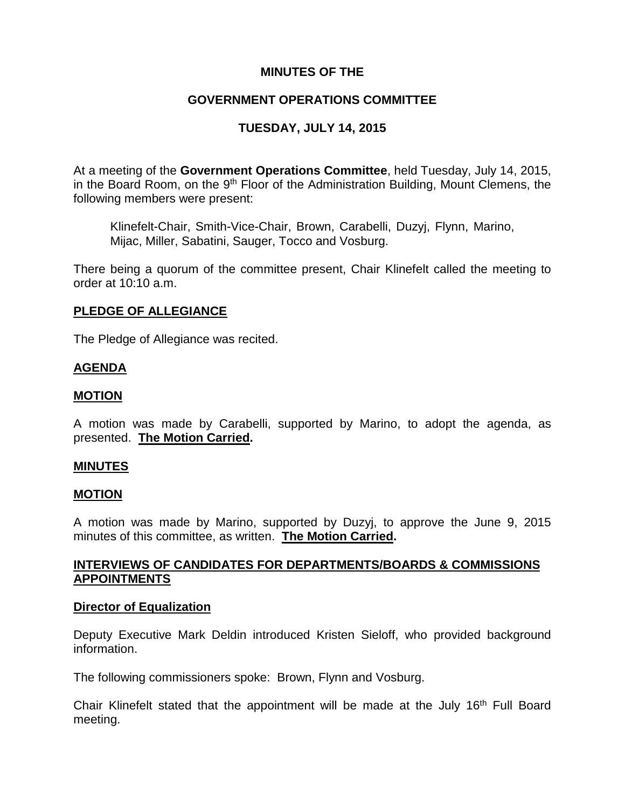# **MINUTES OF THE**

# **GOVERNMENT OPERATIONS COMMITTEE**

# **TUESDAY, JULY 14, 2015**

At a meeting of the **Government Operations Committee**, held Tuesday, July 14, 2015, in the Board Room, on the 9<sup>th</sup> Floor of the Administration Building, Mount Clemens, the following members were present:

Klinefelt-Chair, Smith-Vice-Chair, Brown, Carabelli, Duzyj, Flynn, Marino, Mijac, Miller, Sabatini, Sauger, Tocco and Vosburg.

There being a quorum of the committee present, Chair Klinefelt called the meeting to order at 10:10 a.m.

# **PLEDGE OF ALLEGIANCE**

The Pledge of Allegiance was recited.

# **AGENDA**

# **MOTION**

A motion was made by Carabelli, supported by Marino, to adopt the agenda, as presented. **The Motion Carried.**

## **MINUTES**

## **MOTION**

A motion was made by Marino, supported by Duzyj, to approve the June 9, 2015 minutes of this committee, as written. **The Motion Carried.**

# **INTERVIEWS OF CANDIDATES FOR DEPARTMENTS/BOARDS & COMMISSIONS APPOINTMENTS**

#### **Director of Equalization**

Deputy Executive Mark Deldin introduced Kristen Sieloff, who provided background information.

The following commissioners spoke: Brown, Flynn and Vosburg.

Chair Klinefelt stated that the appointment will be made at the July 16<sup>th</sup> Full Board meeting.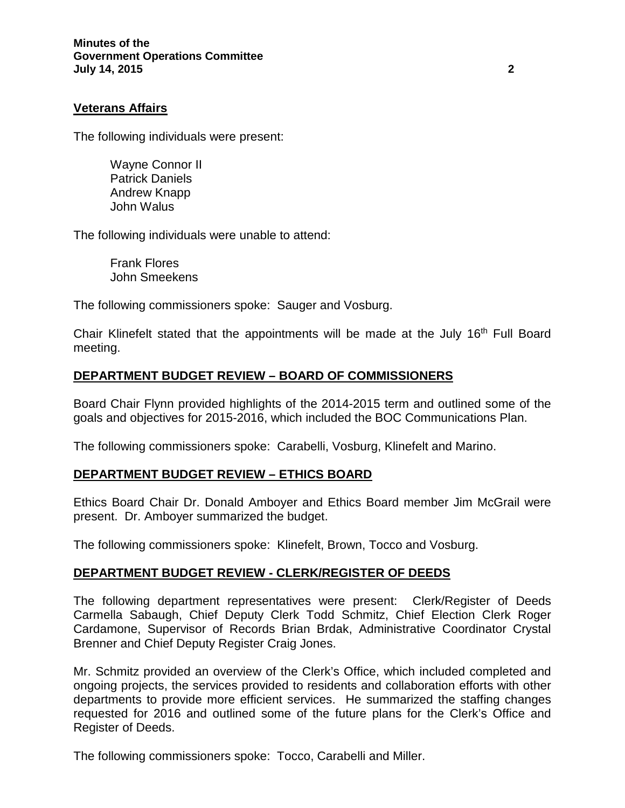## **Veterans Affairs**

The following individuals were present:

Wayne Connor II Patrick Daniels Andrew Knapp John Walus

The following individuals were unable to attend:

Frank Flores John Smeekens

The following commissioners spoke: Sauger and Vosburg.

Chair Klinefelt stated that the appointments will be made at the July 16<sup>th</sup> Full Board meeting.

## **DEPARTMENT BUDGET REVIEW – BOARD OF COMMISSIONERS**

Board Chair Flynn provided highlights of the 2014-2015 term and outlined some of the goals and objectives for 2015-2016, which included the BOC Communications Plan.

The following commissioners spoke: Carabelli, Vosburg, Klinefelt and Marino.

## **DEPARTMENT BUDGET REVIEW – ETHICS BOARD**

Ethics Board Chair Dr. Donald Amboyer and Ethics Board member Jim McGrail were present. Dr. Amboyer summarized the budget.

The following commissioners spoke: Klinefelt, Brown, Tocco and Vosburg.

#### **DEPARTMENT BUDGET REVIEW - CLERK/REGISTER OF DEEDS**

The following department representatives were present: Clerk/Register of Deeds Carmella Sabaugh, Chief Deputy Clerk Todd Schmitz, Chief Election Clerk Roger Cardamone, Supervisor of Records Brian Brdak, Administrative Coordinator Crystal Brenner and Chief Deputy Register Craig Jones.

Mr. Schmitz provided an overview of the Clerk's Office, which included completed and ongoing projects, the services provided to residents and collaboration efforts with other departments to provide more efficient services. He summarized the staffing changes requested for 2016 and outlined some of the future plans for the Clerk's Office and Register of Deeds.

The following commissioners spoke: Tocco, Carabelli and Miller.